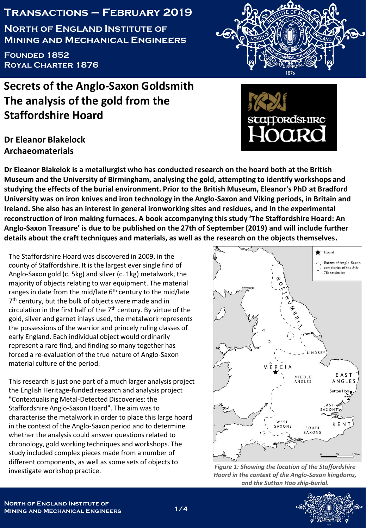### **Transactions – February 2019**

**North of England Institute of Mining and Mechanical Engineers**

**Founded 1852 Royal Charter 1876**

# **Secrets of the Anglo-Saxon Goldsmith The analysis of the gold from the Staffordshire Hoard**

## **Dr Eleanor Blakelock Archaeomaterials**

**Dr Eleanor Blakelok is a metallurgist who has conducted research on the hoard both at the British Museum and the University of Birmingham, analysing the gold, attempting to identify workshops and studying the effects of the burial environment. Prior to the British Museum, Eleanor's PhD at Bradford University was on iron knives and iron technology in the Anglo-Saxon and Viking periods, in Britain and Ireland. She also has an interest in general ironworking sites and residues, and in the experimental reconstruction of iron making furnaces. A book accompanying this study 'The Staffordshire Hoard: An Anglo-Saxon Treasure' is due to be published on the 27th of September (2019) and will include further details about the craft techniques and materials, as well as the research on the objects themselves.**

The Staffordshire Hoard was discovered in 2009, in the county of Staffordshire. It is the largest ever single find of Anglo-Saxon gold (c. 5kg) and silver (c. 1kg) metalwork, the majority of objects relating to war equipment. The material ranges in date from the mid/late  $6<sup>th</sup>$  century to the mid/late 7<sup>th</sup> century, but the bulk of objects were made and in circulation in the first half of the  $7<sup>th</sup>$  century. By virtue of the gold, silver and garnet inlays used, the metalwork represents the possessions of the warrior and princely ruling classes of early England. Each individual object would ordinarily represent a rare find, and finding so many together has forced a re-evaluation of the true nature of Anglo-Saxon material culture of the period.

This research is just one part of a much larger analysis project the English Heritage-funded research and analysis project "Contextualising Metal-Detected Discoveries: the Staffordshire Anglo-Saxon Hoard". The aim was to characterise the metalwork in order to place this large hoard in the context of the Anglo-Saxon period and to determine whether the analysis could answer questions related to chronology, gold working techniques and workshops. The study included complex pieces made from a number of different components, as well as some sets of objects to investigate workshop practice.







*Figure 1: Showing the location of the Staffordshire Hoard in the context of the Anglo-Saxon kingdoms, and the Sutton Hoo ship-burial.* 

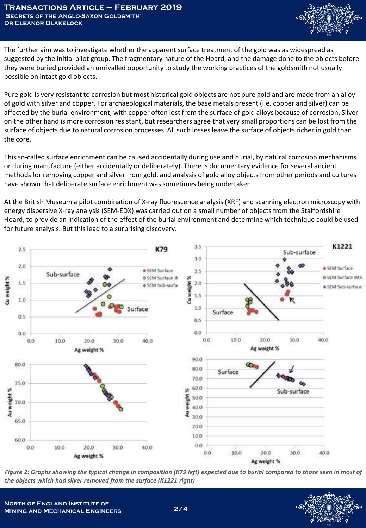

The further aim was to investigate whether the apparent surface treatment of the gold was as widespread as suggested by the initial pilot group. The fragmentary nature of the Hoard, and the damage done to the objects before they were buried provided an unrivalled opportunity to study the working practices of the goldsmith not usually possible on intact gold objects.

Pure gold is very resistant to corrosion but most historical gold objects are not pure gold and are made from an alloy of gold with silver and copper. For archaeological materials, the base metals present (i.e. copper and silver) can be affected by the burial environment, with copper often lost from the surface of gold alloys because of corrosion. Silver on the other hand is more corrosion resistant, but researchers agree that very small proportions can be lost from the surface of objects due to natural corrosion processes. All such losses leave the surface of objects richer in gold than the core.

This so-called surface enrichment can be caused accidentally during use and burial, by natural corrosion mechanisms or during manufacture (either accidentally or deliberately). There is documentary evidence for several ancient methods for removing copper and silver from gold, and analysis of gold alloy objects from other periods and cultures have shown that deliberate surface enrichment was sometimes being undertaken.

At the British Museum a pilot combination of X-ray fluorescence analysis (XRF) and scanning electron microscopy with energy dispersive X-ray analysis (SEM-EDX) was carried out on a small number of objects from the Staffordshire Hoard, to provide an indication of the effect of the burial environment and determine which technique could be used for future analysis. But this lead to a surprising discovery.



Figure 2: Graphs showing the typical change in composition (K79 left) expected due to burial compared to those seen in most of *the objects which had silver removed from the surface (K1221 right)*

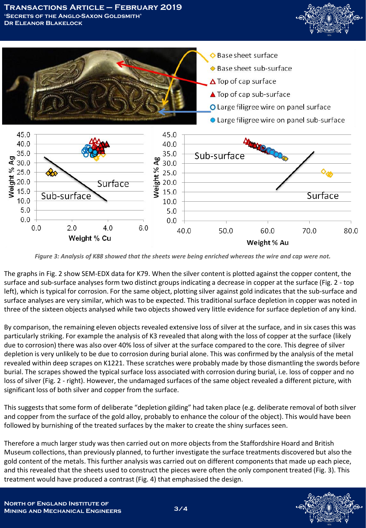



*Figure 3: Analysis of K88 showed that the sheets were being enriched whereas the wire and cap were not.*

The graphs in Fig. 2 show SEM-EDX data for K79. When the silver content is plotted against the copper content, the surface and sub-surface analyses form two distinct groups indicating a decrease in copper at the surface (Fig. 2 - top left), which is typical for corrosion. For the same object, plotting silver against gold indicates that the sub-surface and surface analyses are very similar, which was to be expected. This traditional surface depletion in copper was noted in three of the sixteen objects analysed while two objects showed very little evidence for surface depletion of any kind.

By comparison, the remaining eleven objects revealed extensive loss of silver at the surface, and in six cases this was particularly striking. For example the analysis of K3 revealed that along with the loss of copper at the surface (likely due to corrosion) there was also over 40% loss of silver at the surface compared to the core. This degree of silver depletion is very unlikely to be due to corrosion during burial alone. This was confirmed by the analysis of the metal revealed within deep scrapes on K1221. These scratches were probably made by those dismantling the swords before burial. The scrapes showed the typical surface loss associated with corrosion during burial, i.e. loss of copper and no loss of silver (Fig. 2 - right). However, the undamaged surfaces of the same object revealed a different picture, with significant loss of both silver and copper from the surface.

This suggests that some form of deliberate "depletion gilding" had taken place (e.g. deliberate removal of both silver and copper from the surface of the gold alloy, probably to enhance the colour of the object). This would have been followed by burnishing of the treated surfaces by the maker to create the shiny surfaces seen.

Therefore a much larger study was then carried out on more objects from the Staffordshire Hoard and British Museum collections, than previously planned, to further investigate the surface treatments discovered but also the gold content of the metals. This further analysis was carried out on different components that made up each piece, and this revealed that the sheets used to construct the pieces were often the only component treated (Fig. 3). This treatment would have produced a contrast (Fig. 4) that emphasised the design.